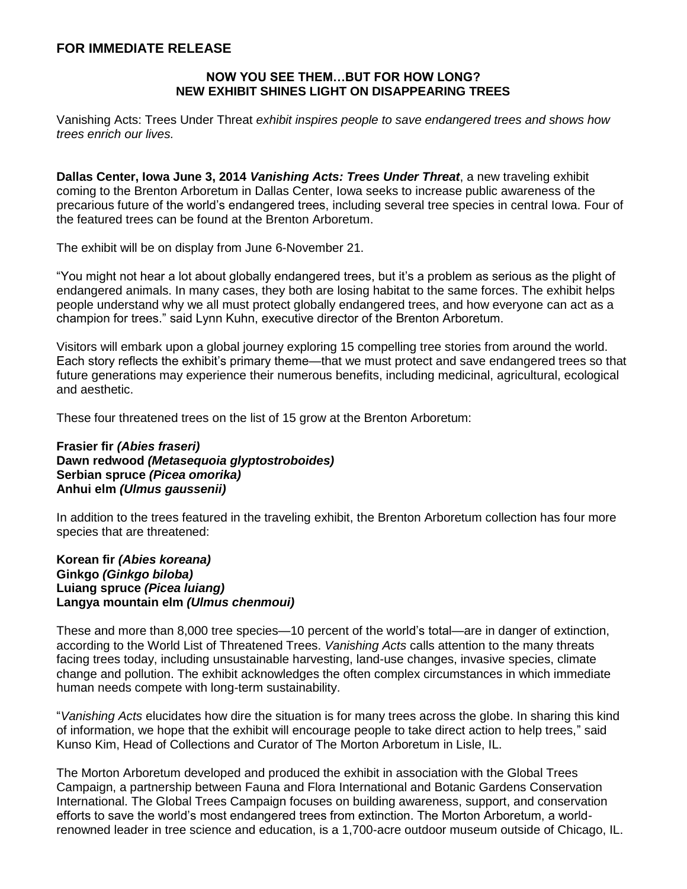## **FOR IMMEDIATE RELEASE**

## **NOW YOU SEE THEM…BUT FOR HOW LONG? NEW EXHIBIT SHINES LIGHT ON DISAPPEARING TREES**

Vanishing Acts: Trees Under Threat *exhibit inspires people to save endangered trees and shows how trees enrich our lives.*

**Dallas Center, Iowa June 3, 2014** *Vanishing Acts: Trees Under Threat*, a new traveling exhibit coming to the Brenton Arboretum in Dallas Center, Iowa seeks to increase public awareness of the precarious future of the world's endangered trees, including several tree species in central Iowa. Four of the featured trees can be found at the Brenton Arboretum.

The exhibit will be on display from June 6-November 21.

"You might not hear a lot about globally endangered trees, but it's a problem as serious as the plight of endangered animals. In many cases, they both are losing habitat to the same forces. The exhibit helps people understand why we all must protect globally endangered trees, and how everyone can act as a champion for trees." said Lynn Kuhn, executive director of the Brenton Arboretum.

Visitors will embark upon a global journey exploring 15 compelling tree stories from around the world. Each story reflects the exhibit's primary theme—that we must protect and save endangered trees so that future generations may experience their numerous benefits, including medicinal, agricultural, ecological and aesthetic.

These four threatened trees on the list of 15 grow at the Brenton Arboretum:

## **Frasier fir** *(Abies fraseri)* **Dawn redwood** *(Metasequoia glyptostroboides)* **Serbian spruce** *(Picea omorika)* **Anhui elm** *(Ulmus gaussenii)*

In addition to the trees featured in the traveling exhibit, the Brenton Arboretum collection has four more species that are threatened:

## **Korean fir** *(Abies koreana)* **Ginkgo** *(Ginkgo biloba)* **Luiang spruce** *(Picea luiang)* **Langya mountain elm** *(Ulmus chenmoui)*

These and more than 8,000 tree species—10 percent of the world's total—are in danger of extinction, according to the World List of Threatened Trees. *Vanishing Acts* calls attention to the many threats facing trees today, including unsustainable harvesting, land-use changes, invasive species, climate change and pollution. The exhibit acknowledges the often complex circumstances in which immediate human needs compete with long-term sustainability.

"*Vanishing Acts* elucidates how dire the situation is for many trees across the globe. In sharing this kind of information, we hope that the exhibit will encourage people to take direct action to help trees," said Kunso Kim, Head of Collections and Curator of The Morton Arboretum in Lisle, IL.

The Morton Arboretum developed and produced the exhibit in association with the Global Trees Campaign, a partnership between Fauna and Flora International and Botanic Gardens Conservation International. The Global Trees Campaign focuses on building awareness, support, and conservation efforts to save the world's most endangered trees from extinction. The Morton Arboretum, a worldrenowned leader in tree science and education, is a 1,700-acre outdoor museum outside of Chicago, IL.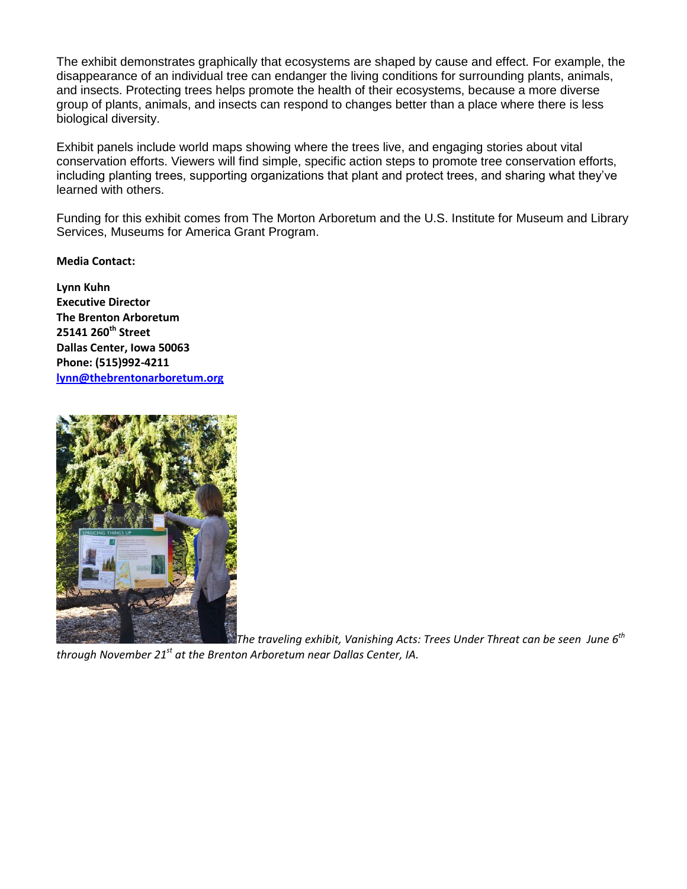The exhibit demonstrates graphically that ecosystems are shaped by cause and effect. For example, the disappearance of an individual tree can endanger the living conditions for surrounding plants, animals, and insects. Protecting trees helps promote the health of their ecosystems, because a more diverse group of plants, animals, and insects can respond to changes better than a place where there is less biological diversity.

Exhibit panels include world maps showing where the trees live, and engaging stories about vital conservation efforts. Viewers will find simple, specific action steps to promote tree conservation efforts, including planting trees, supporting organizations that plant and protect trees, and sharing what they've learned with others.

Funding for this exhibit comes from The Morton Arboretum and the U.S. Institute for Museum and Library Services, Museums for America Grant Program.

**Media Contact:**

**Lynn Kuhn Executive Director The Brenton Arboretum 25141 260th Street Dallas Center, Iowa 50063 Phone: (515)992-4211 [lynn@thebrentonarboretum.org](mailto:lynn@thebrentonarboretum.org)**



*The traveling exhibit, Vanishing Acts: Trees Under Threat can be seen June 6th*

*through November 21st at the Brenton Arboretum near Dallas Center, IA.*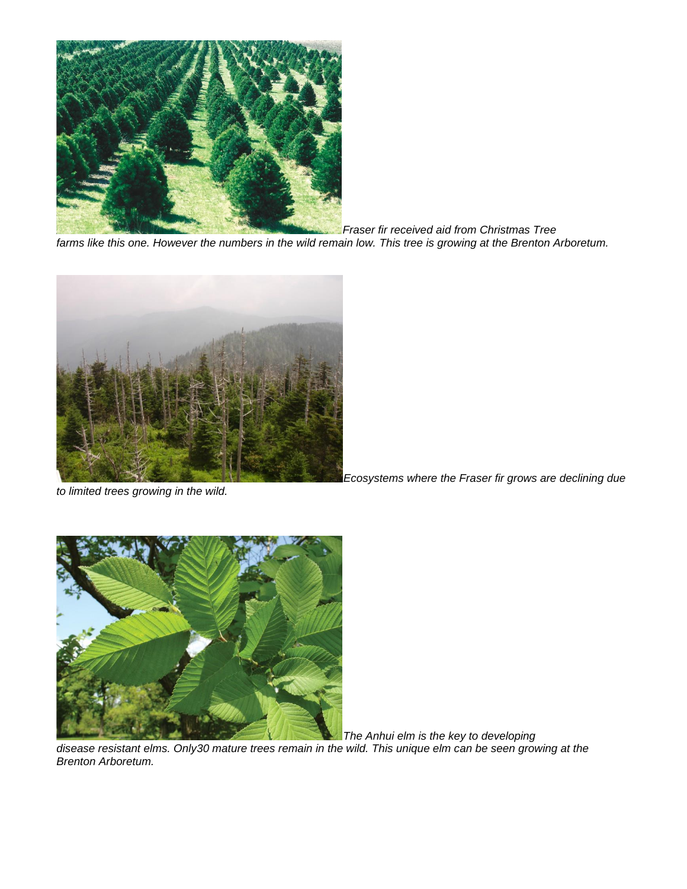

*Fraser fir received aid from Christmas Tree farms like this one. However the numbers in the wild remain low. This tree is growing at the Brenton Arboretum.*



*to limited trees growing in the wild.*

*Ecosystems where the Fraser fir grows are declining due* 



*The Anhui elm is the key to developing*

*disease resistant elms. Only30 mature trees remain in the wild. This unique elm can be seen growing at the Brenton Arboretum.*